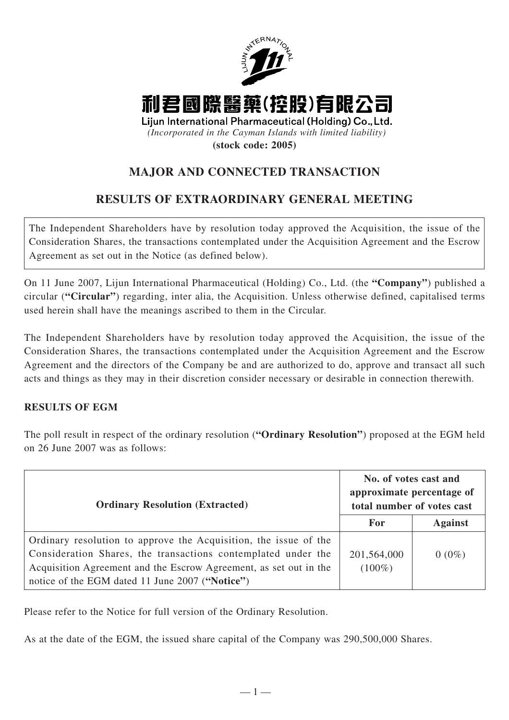

## **MAJOR AND CONNECTED TRANSACTION**

## **RESULTS OF EXTRAORDINARY GENERAL MEETING**

The Independent Shareholders have by resolution today approved the Acquisition, the issue of the Consideration Shares, the transactions contemplated under the Acquisition Agreement and the Escrow Agreement as set out in the Notice (as defined below).

On 11 June 2007, Lijun International Pharmaceutical (Holding) Co., Ltd. (the **"Company"**) published a circular (**"Circular"**) regarding, inter alia, the Acquisition. Unless otherwise defined, capitalised terms used herein shall have the meanings ascribed to them in the Circular.

The Independent Shareholders have by resolution today approved the Acquisition, the issue of the Consideration Shares, the transactions contemplated under the Acquisition Agreement and the Escrow Agreement and the directors of the Company be and are authorized to do, approve and transact all such acts and things as they may in their discretion consider necessary or desirable in connection therewith.

## **RESULTS OF EGM**

The poll result in respect of the ordinary resolution (**"Ordinary Resolution"**) proposed at the EGM held on 26 June 2007 was as follows:

| <b>Ordinary Resolution (Extracted)</b>                                                                                                                                                                                                                    | No. of votes cast and<br>approximate percentage of<br>total number of votes cast |                |
|-----------------------------------------------------------------------------------------------------------------------------------------------------------------------------------------------------------------------------------------------------------|----------------------------------------------------------------------------------|----------------|
|                                                                                                                                                                                                                                                           | For                                                                              | <b>Against</b> |
| Ordinary resolution to approve the Acquisition, the issue of the<br>Consideration Shares, the transactions contemplated under the<br>Acquisition Agreement and the Escrow Agreement, as set out in the<br>notice of the EGM dated 11 June 2007 ("Notice") | 201,564,000<br>$(100\%)$                                                         | $0(0\%)$       |

Please refer to the Notice for full version of the Ordinary Resolution.

As at the date of the EGM, the issued share capital of the Company was 290,500,000 Shares.